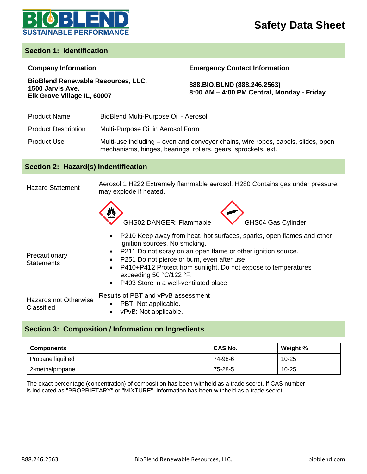

### **Section 1: Identification**

#### **Company Information Emergency Contact Information**

**888.BIO.BLND (888.246.2563) 8:00 AM – 4:00 PM Central, Monday - Friday**

| <b>BioBlend Renewable Resources, LLC.</b> |  |
|-------------------------------------------|--|
| 1500 Jarvis Ave.                          |  |
| Elk Grove Village IL, 60007               |  |

Product Name BioBlend Multi-Purpose Oil - Aerosol

Product Description Multi-Purpose Oil in Aerosol Form

Product Use Multi-use including – oven and conveyor chains, wire ropes, cabels, slides, open mechanisms, hinges, bearings, rollers, gears, sprockets, ext.

### **Section 2: Hazard(s) Indentification**

Hazard Statement Aerosol 1 H222 Extremely flammable aerosol. H280 Contains gas under pressure; may explode if heated.





- P210 Keep away from heat, hot surfaces, sparks, open flames and other ignition sources. No smoking.
- P211 Do not spray on an open flame or other ignition source.

**Precautionary Statements** 

- P251 Do not pierce or burn, even after use.
- P410+P412 Protect from sunlight. Do not expose to temperatures exceeding 50 °C/122 °F.
- P403 Store in a well-ventilated place

Hazards not Otherwise **Classified** 

- Results of PBT and vPvB assessment
	- PBT: Not applicable.
	- vPvB: Not applicable.

### **Section 3: Composition / Information on Ingredients**

| <b>Components</b> | CAS No. | Weight %  |
|-------------------|---------|-----------|
| Propane liquified | 74-98-6 | $10 - 25$ |
| 2-methalpropane   | 75-28-5 | $10 - 25$ |

The exact percentage (concentration) of composition has been withheld as a trade secret. If CAS number is indicated as "PROPRIETARY" or "MIXTURE", information has been withheld as a trade secret.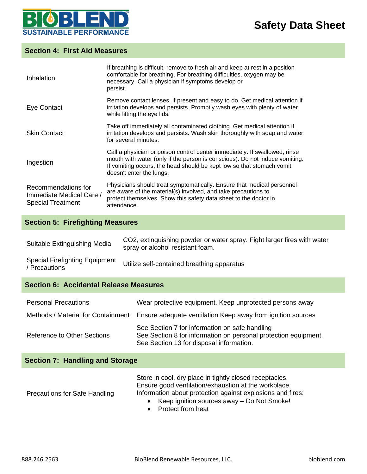

### **Section 4: First Aid Measures**

| Inhalation                                                                  | If breathing is difficult, remove to fresh air and keep at rest in a position<br>comfortable for breathing. For breathing difficulties, oxygen may be<br>necessary. Call a physician if symptoms develop or<br>persist.                                        |
|-----------------------------------------------------------------------------|----------------------------------------------------------------------------------------------------------------------------------------------------------------------------------------------------------------------------------------------------------------|
| Eye Contact                                                                 | Remove contact lenses, if present and easy to do. Get medical attention if<br>irritation develops and persists. Promptly wash eyes with plenty of water<br>while lifting the eye lids.                                                                         |
| <b>Skin Contact</b>                                                         | Take off immediately all contaminated clothing. Get medical attention if<br>irritation develops and persists. Wash skin thoroughly with soap and water<br>for several minutes.                                                                                 |
| Ingestion                                                                   | Call a physician or poison control center immediately. If swallowed, rinse<br>mouth with water (only if the person is conscious). Do not induce vomiting.<br>If vomiting occurs, the head should be kept low so that stomach vomit<br>doesn't enter the lungs. |
| Recommendations for<br>Immediate Medical Care /<br><b>Special Treatment</b> | Physicians should treat symptomatically. Ensure that medical personnel<br>are aware of the material(s) involved, and take precautions to<br>protect themselves. Show this safety data sheet to the doctor in<br>attendance.                                    |

## **Section 5: Firefighting Measures**

| Suitable Extinguishing Media                         | CO2, extinguishing powder or water spray. Fight larger fires with water<br>spray or alcohol resistant foam. |
|------------------------------------------------------|-------------------------------------------------------------------------------------------------------------|
| <b>Special Firefighting Equipment</b><br>Precautions | Utilize self-contained breathing apparatus                                                                  |

### **Section 6: Accidental Release Measures**

| <b>Personal Precautions</b>        | Wear protective equipment. Keep unprotected persons away                                                                                                      |
|------------------------------------|---------------------------------------------------------------------------------------------------------------------------------------------------------------|
| Methods / Material for Containment | Ensure adequate ventilation Keep away from ignition sources                                                                                                   |
| Reference to Other Sections        | See Section 7 for information on safe handling<br>See Section 8 for information on personal protection equipment.<br>See Section 13 for disposal information. |

## **Section 7: Handling and Storage**

| <b>Precautions for Safe Handling</b> | Store in cool, dry place in tightly closed receptacles.<br>Ensure good ventilation/exhaustion at the workplace.<br>Information about protection against explosions and fires:<br>• Keep ignition sources away $-$ Do Not Smoke! |
|--------------------------------------|---------------------------------------------------------------------------------------------------------------------------------------------------------------------------------------------------------------------------------|
|                                      | • Protect from heat                                                                                                                                                                                                             |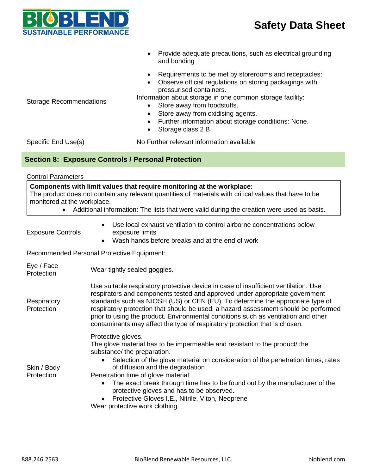

- Provide adequate precautions, such as electrical grounding and bonding
- Requirements to be met by storerooms and receptacles:
- Observe official regulations on storing packagings with pressurised containers.

Storage Recommendations

- Information about storage in one common storage facility:
	- Store away from foodstuffs.
	- Store away from oxidising agents.
	- Further information about storage conditions: None.
	- Storage class 2 B

Specific End Use(s) No Further relevant information available

### **Section 8: Exposure Controls / Personal Protection**

Control Parameters

**Components with limit values that require monitoring at the workplace:** The product does not contain any relevant quantities of materials with critical values that have to be monitored at the workplace. • Additional information: The lists that were valid during the creation were used as basis. Exposure Controls • Use local exhaust ventilation to control airborne concentrations below exposure limits

Wash hands before breaks and at the end of work

Recommended Personal Protective Equipment:

| Eye / Face<br>Protection  | Wear tightly sealed goggles.                                                                                                                                                                                                                                                                                                                                                                                                                                                                                                 |
|---------------------------|------------------------------------------------------------------------------------------------------------------------------------------------------------------------------------------------------------------------------------------------------------------------------------------------------------------------------------------------------------------------------------------------------------------------------------------------------------------------------------------------------------------------------|
| Respiratory<br>Protection | Use suitable respiratory protective device in case of insufficient ventilation. Use<br>respirators and components tested and approved under appropriate government<br>standards such as NIOSH (US) or CEN (EU). To determine the appropriate type of<br>respiratory protection that should be used, a hazard assessment should be performed<br>prior to using the product. Environmental conditions such as ventilation and other<br>contaminants may affect the type of respiratory protection that is chosen.              |
| Skin / Body<br>Protection | Protective gloves.<br>The glove material has to be impermeable and resistant to the product/ the<br>substance/ the preparation.<br>Selection of the glove material on consideration of the penetration times, rates<br>of diffusion and the degradation<br>Penetration time of glove material<br>The exact break through time has to be found out by the manufacturer of the<br>$\bullet$<br>protective gloves and has to be observed.<br>Protective Gloves I.E., Nitrile, Viton, Neoprene<br>Wear protective work clothing. |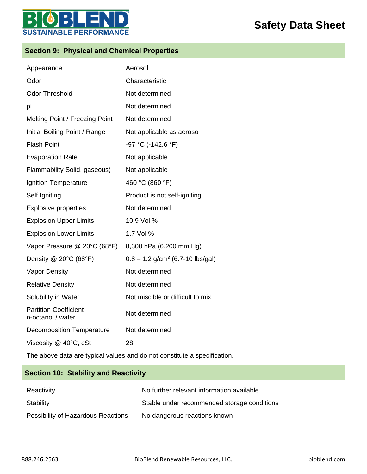

## **Section 9: Physical and Chemical Properties**

E

Б

| Appearance                                        | Aerosol                                        |
|---------------------------------------------------|------------------------------------------------|
| Odor                                              | Characteristic                                 |
| <b>Odor Threshold</b>                             | Not determined                                 |
| pH                                                | Not determined                                 |
| Melting Point / Freezing Point                    | Not determined                                 |
| Initial Boiling Point / Range                     | Not applicable as aerosol                      |
| <b>Flash Point</b>                                | -97 °C (-142.6 °F)                             |
| <b>Evaporation Rate</b>                           | Not applicable                                 |
| Flammability Solid, gaseous)                      | Not applicable                                 |
| Ignition Temperature                              | 460 °C (860 °F)                                |
| Self Igniting                                     | Product is not self-igniting                   |
| <b>Explosive properties</b>                       | Not determined                                 |
| <b>Explosion Upper Limits</b>                     | 10.9 Vol %                                     |
| <b>Explosion Lower Limits</b>                     | 1.7 Vol %                                      |
| Vapor Pressure @ 20°C (68°F)                      | 8,300 hPa (6.200 mm Hg)                        |
| Density $@$ 20 $°C$ (68 $°F$ )                    | $0.8 - 1.2$ g/cm <sup>3</sup> (6.7-10 lbs/gal) |
| <b>Vapor Density</b>                              | Not determined                                 |
| <b>Relative Density</b>                           | Not determined                                 |
| Solubility in Water                               | Not miscible or difficult to mix               |
| <b>Partition Coefficient</b><br>n-octanol / water | Not determined                                 |
| <b>Decomposition Temperature</b>                  | Not determined                                 |
| Viscosity @ 40°C, cSt                             | 28                                             |

The above data are typical values and do not constitute a specification.

## **Section 10: Stability and Reactivity**

| Reactivity                         | No further relevant information available.  |
|------------------------------------|---------------------------------------------|
| Stability                          | Stable under recommended storage conditions |
| Possibility of Hazardous Reactions | No dangerous reactions known                |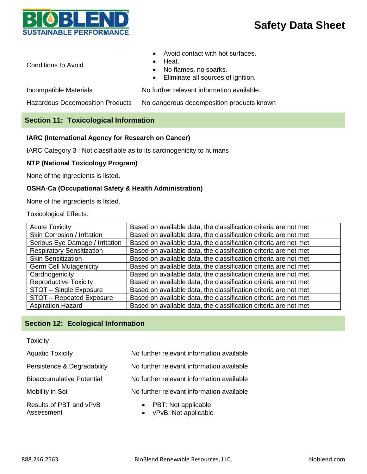

Conditions to Avoid

- Avoid contact with hot surfaces.
- Heat.
- No flames, no sparks.
- Eliminate all sources of ignition.

Incompatible Materials No further relevant information available.

Hazardous Decomposition Products No dangerous decomposition products known

### **Section 11: Toxicological Information**

### **IARC (International Agency for Research on Cancer)**

IARC Category 3 : Not classifiable as to its carcinogenicity to humans

### **NTP (National Toxicology Program)**

None of the ingredients is listed.

### **OSHA-Ca (Occupational Safety & Health Administration)**

None of the ingredients is listed.

Toxicological Effects:

| <b>Acute Toxicity</b>            | Based on available data, the classification criteria are not met  |
|----------------------------------|-------------------------------------------------------------------|
| Skin Corrosion / Irritation      | Based on available data, the classification criteria are not met  |
| Serious Eye Damage / Irritation  | Based on available data, the classification criteria are not met  |
| <b>Respiratory Sensitization</b> | Based on available data, the classification criteria are not met  |
| <b>Skin Sensitization</b>        | Based on available data, the classification criteria are not met  |
| <b>Germ Cell Mutagenicity</b>    | Based on available data, the classification criteria are not met. |
| Cardnogenicity                   | Based on available data, the classification criteria are not met. |
| <b>Reproductive Toxicity</b>     | Based on available data, the classification criteria are not met. |
| STOT - Single Exposure           | Based on available data, the classification criteria are not met. |
| STOT - Repeated Exposure         | Based on available data, the classification criteria are not met. |
| <b>Aspiration Hazard</b>         | Based on available data, the classification criteria are not met. |

### **Section 12: Ecological Information**

# **Toxicity** Aquatic Toxicity Mo further relevant information available Persistence & Degradability No further relevant information available Bioaccumulative Potential No further relevant information available

Mobility in Soil **No further relevant information available** 

Results of PBT and vPvB Assessment

- PBT: Not applicable
- vPvB: Not applicable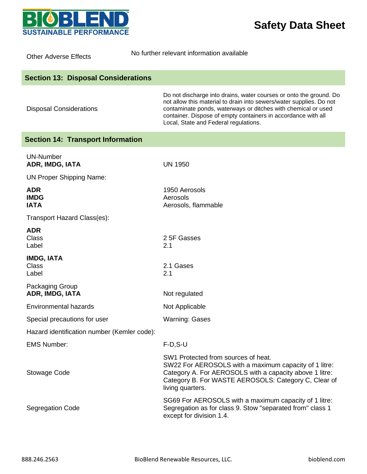

| <b>Other Adverse Effects</b>                | No further relevant information available                                                                                                                                                                                                                                                                            |
|---------------------------------------------|----------------------------------------------------------------------------------------------------------------------------------------------------------------------------------------------------------------------------------------------------------------------------------------------------------------------|
| <b>Section 13: Disposal Considerations</b>  |                                                                                                                                                                                                                                                                                                                      |
| <b>Disposal Considerations</b>              | Do not discharge into drains, water courses or onto the ground. Do<br>not allow this material to drain into sewers/water supplies. Do not<br>contaminate ponds, waterways or ditches with chemical or used<br>container. Dispose of empty containers in accordance with all<br>Local, State and Federal regulations. |
| <b>Section 14: Transport Information</b>    |                                                                                                                                                                                                                                                                                                                      |
| <b>UN-Number</b><br>ADR, IMDG, IATA         | <b>UN 1950</b>                                                                                                                                                                                                                                                                                                       |
| <b>UN Proper Shipping Name:</b>             |                                                                                                                                                                                                                                                                                                                      |
| <b>ADR</b><br><b>IMDG</b><br><b>IATA</b>    | 1950 Aerosols<br>Aerosols<br>Aerosols, flammable                                                                                                                                                                                                                                                                     |
| Transport Hazard Class(es):                 |                                                                                                                                                                                                                                                                                                                      |
| <b>ADR</b><br><b>Class</b><br>Label         | 2 5F Gasses<br>2.1                                                                                                                                                                                                                                                                                                   |
| <b>IMDG, IATA</b><br><b>Class</b><br>Label  | 2.1 Gases<br>2.1                                                                                                                                                                                                                                                                                                     |
| Packaging Group<br>ADR, IMDG, IATA          | Not regulated                                                                                                                                                                                                                                                                                                        |
| <b>Environmental hazards</b>                | Not Applicable                                                                                                                                                                                                                                                                                                       |
| Special precautions for user                | <b>Warning: Gases</b>                                                                                                                                                                                                                                                                                                |
| Hazard identification number (Kemler code): |                                                                                                                                                                                                                                                                                                                      |
| <b>EMS Number:</b>                          | $F-D, S-U$                                                                                                                                                                                                                                                                                                           |
| Stowage Code                                | SW1 Protected from sources of heat.<br>SW22 For AEROSOLS with a maximum capacity of 1 litre:<br>Category A. For AEROSOLS with a capacity above 1 litre:<br>Category B. For WASTE AEROSOLS: Category C, Clear of<br>living quarters.                                                                                  |
| <b>Segregation Code</b>                     | SG69 For AEROSOLS with a maximum capacity of 1 litre:<br>Segregation as for class 9. Stow "separated from" class 1<br>except for division 1.4.                                                                                                                                                                       |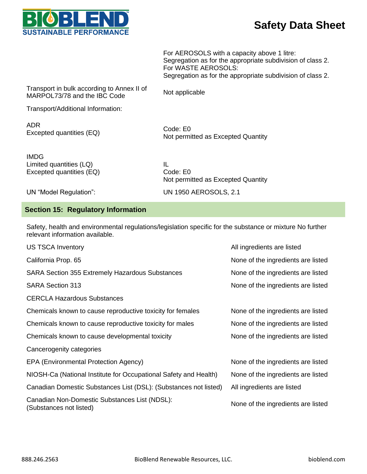

For AEROSOLS with a capacity above 1 litre: Segregation as for the appropriate subdivision of class 2. For WASTE AEROSOLS: Segregation as for the appropriate subdivision of class 2.

Transport in bulk according to Annex II of Transport in buik according to Affrica it of Mot applicable<br>MARPOL73/78 and the IBC Code

Transport/Additional Information:

ADR ADN<br>Excepted quantities (EQ) Code: E0

Not permitted as Excepted Quantity

IMDG Limited quantities (LQ) Excepted quantities (EQ)

IL Code: E0 Not permitted as Excepted Quantity

UN "Model Regulation": UN 1950 AEROSOLS, 2.1

### **Section 15: Regulatory Information**

Safety, health and environmental regulations/legislation specific for the substance or mixture No further relevant information available.

| <b>US TSCA Inventory</b>                                                 | All ingredients are listed         |
|--------------------------------------------------------------------------|------------------------------------|
| California Prop. 65                                                      | None of the ingredients are listed |
| <b>SARA Section 355 Extremely Hazardous Substances</b>                   | None of the ingredients are listed |
| <b>SARA Section 313</b>                                                  | None of the ingredients are listed |
| <b>CERCLA Hazardous Substances</b>                                       |                                    |
| Chemicals known to cause reproductive toxicity for females               | None of the ingredients are listed |
| Chemicals known to cause reproductive toxicity for males                 | None of the ingredients are listed |
| Chemicals known to cause developmental toxicity                          | None of the ingredients are listed |
| Cancerogenity categories                                                 |                                    |
| EPA (Environmental Protection Agency)                                    | None of the ingredients are listed |
| NIOSH-Ca (National Institute for Occupational Safety and Health)         | None of the ingredients are listed |
| Canadian Domestic Substances List (DSL): (Substances not listed)         | All ingredients are listed         |
| Canadian Non-Domestic Substances List (NDSL):<br>(Substances not listed) | None of the ingredients are listed |